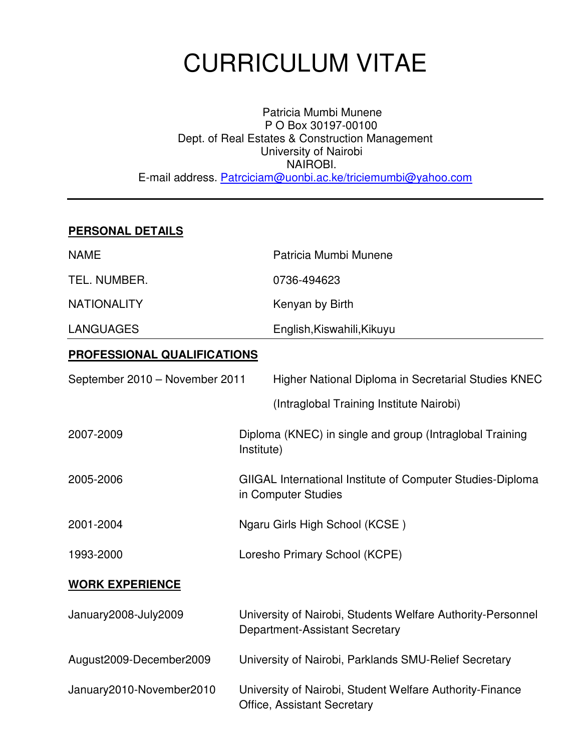# CURRICULUM VITAE

Patricia Mumbi Munene P O Box 30197-00100 Dept. of Real Estates & Construction Management University of Nairobi NAIROBI. E-mail address. Patrciciam@uonbi.ac.ke/triciemumbi@yahoo.com

## **PERSONAL DETAILS**

| <b>NAME</b>                        |            | Patricia Mumbi Munene                                                                         |  |
|------------------------------------|------------|-----------------------------------------------------------------------------------------------|--|
| TEL. NUMBER.                       |            | 0736-494623                                                                                   |  |
| <b>NATIONALITY</b>                 |            | Kenyan by Birth                                                                               |  |
| <b>LANGUAGES</b>                   |            | English, Kiswahili, Kikuyu                                                                    |  |
| <b>PROFESSIONAL QUALIFICATIONS</b> |            |                                                                                               |  |
| September 2010 - November 2011     |            | Higher National Diploma in Secretarial Studies KNEC                                           |  |
|                                    |            | (Intraglobal Training Institute Nairobi)                                                      |  |
| 2007-2009                          | Institute) | Diploma (KNEC) in single and group (Intraglobal Training                                      |  |
| 2005-2006                          |            | GIIGAL International Institute of Computer Studies-Diploma<br>in Computer Studies             |  |
| 2001-2004                          |            | Ngaru Girls High School (KCSE)                                                                |  |
| 1993-2000                          |            | Loresho Primary School (KCPE)                                                                 |  |
| <b>WORK EXPERIENCE</b>             |            |                                                                                               |  |
| January2008-July2009               |            | University of Nairobi, Students Welfare Authority-Personnel<br>Department-Assistant Secretary |  |
| August2009-December2009            |            | University of Nairobi, Parklands SMU-Relief Secretary                                         |  |
| January2010-November2010           |            | University of Nairobi, Student Welfare Authority-Finance                                      |  |

Office, Assistant Secretary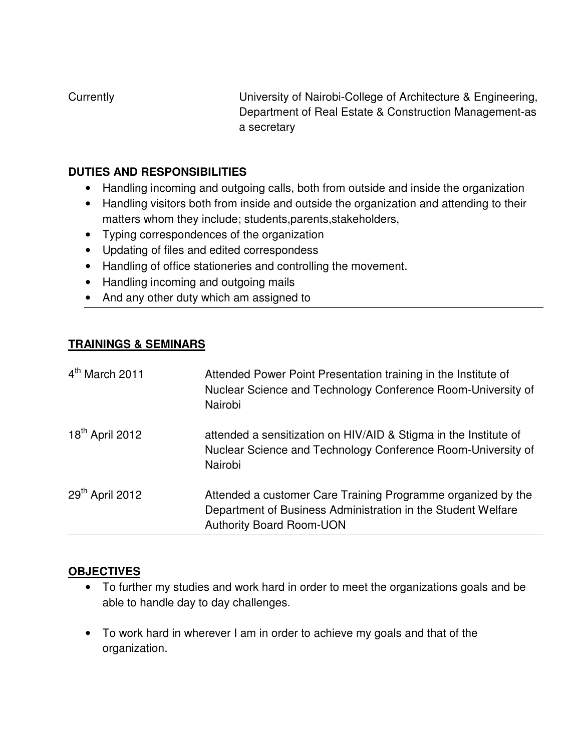Currently University of Nairobi-College of Architecture & Engineering, Department of Real Estate & Construction Management-as a secretary

### **DUTIES AND RESPONSIBILITIES**

- Handling incoming and outgoing calls, both from outside and inside the organization
- Handling visitors both from inside and outside the organization and attending to their matters whom they include; students,parents,stakeholders,
- Typing correspondences of the organization
- Updating of files and edited correspondess
- Handling of office stationeries and controlling the movement.
- Handling incoming and outgoing mails
- And any other duty which am assigned to

## **TRAININGS & SEMINARS**

| 4 <sup>th</sup> March 2011  | Attended Power Point Presentation training in the Institute of<br>Nuclear Science and Technology Conference Room-University of<br>Nairobi                       |
|-----------------------------|-----------------------------------------------------------------------------------------------------------------------------------------------------------------|
| 18 <sup>th</sup> April 2012 | attended a sensitization on HIV/AID & Stigma in the Institute of<br>Nuclear Science and Technology Conference Room-University of<br>Nairobi                     |
| 29 <sup>th</sup> April 2012 | Attended a customer Care Training Programme organized by the<br>Department of Business Administration in the Student Welfare<br><b>Authority Board Room-UON</b> |

# **OBJECTIVES**

- To further my studies and work hard in order to meet the organizations goals and be able to handle day to day challenges.
- To work hard in wherever I am in order to achieve my goals and that of the organization.